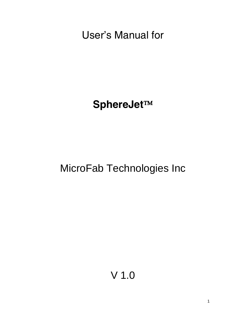User's Manual for

**SphereJet**

MicroFab Technologies Inc

V 1.0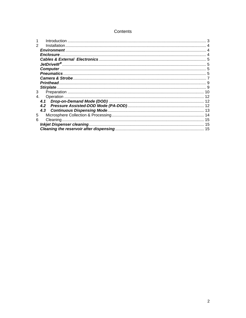#### Contents

|   | Introduction       |  |
|---|--------------------|--|
|   | Installation.      |  |
|   | <b>Environment</b> |  |
|   | <b>Enclosure</b>   |  |
|   |                    |  |
|   |                    |  |
|   |                    |  |
|   |                    |  |
|   |                    |  |
|   | Printhead.         |  |
|   |                    |  |
| 3 |                    |  |
|   |                    |  |
|   | 4.1                |  |
|   | 4.2                |  |
|   | 4.3                |  |
| 5 |                    |  |
| 6 |                    |  |
|   |                    |  |
|   |                    |  |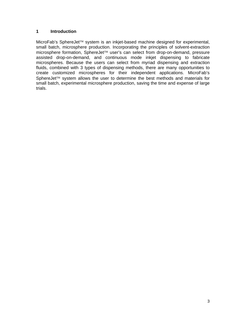## **1 Introduction**

MicroFab's SphereJet™ system is an inkjet-based machine designed for experimental, small batch, microsphere production. Incorporating the principles of solvent-extraction microsphere formation, SphereJet<sup> $m$ </sup> user's can select from drop-on-demand, pressure assisted drop-on-demand, and continuous mode inkjet dispensing to fabricate microspheres. Because the users can select from myriad dispensing and extraction fluids, combined with 3 types of dispensing methods, there are many opportunities to create customized microspheres for their independent applications. MicroFab's SphereJet<sup>TM</sup> system allows the user to determine the best methods and materials for small batch, experimental microsphere production, saving the time and expense of large trials.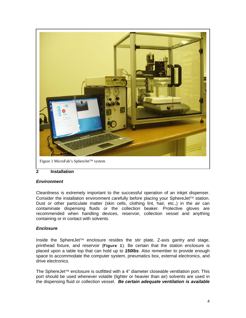

Figure 1 MicroFab's SphereJet™ system

## **2 Installation**

#### *Environment*

Cleanliness is extremely important to the successful operation of an inkjet dispenser. Consider the installation environment carefully before placing your SphereJet<sup> $TM$ </sup> station. Dust or other particulate matter (skin cells, clothing lint, hair, etc.,) in the air can contaminate dispensing fluids or the collection beaker. Protective gloves are recommended when handling devices, reservoir, collection vessel and anything containing or in contact with solvents.

## *Enclosure*

Inside the SphereJet<sup>TM</sup> enclosure resides the stir plate, Z-axis gantry and stage, printhead fixture, and reservoir (Figure 1). Be certain that the station enclosure is placed upon a table top that can hold up to *150lbs*. Also remember to provide enough space to accommodate the computer system, pneumatics box, external electronics, and drive electronics.

The SphereJet<sup>TM</sup> enclosure is outfitted with a 4" diameter closeable ventilation port. This port should be used whenever volatile (lighter or heavier than air) solvents are used in the dispensing fluid or collection vessel. *Be certain adequate ventilation is available*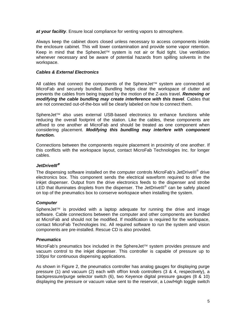*at your facility*. Ensure local compliance for venting vapors to atmosphere.

Always keep the cabinet doors closed unless necessary to access components inside the enclosure cabinet. This will lower contamination and provide some vapor retention. Keep in mind that the SphereJet<sup> $TM$ </sup> system is not air or fluid tight. Use ventilation whenever necessary and be aware of potential hazards from spilling solvents in the workspace.

## *Cables & External Electronics*

All cables that connect the components of the SphereJet<sup> $m$ </sup> system are connected at MicroFab and securely bundled. Bundling helps clear the workspace of clutter and prevents the cables from being trapped by the motion of the Z-axis travel. *Removing or modifying the cable bundling may create interference with this travel*. Cables that are not connected out-of-the-box will be clearly labeled on how to connect them.

SphereJet<sup>TM</sup> also uses external USB-based electronics to enhance functions while reducing the overall footprint of the station. Like the cables, these components are affixed to one another at MicroFab and should be treated as one component when considering placement. *Modifying this bundling may interfere with component function.* 

Connections between the components require placement in proximity of one another. If this conflicts with the workspace layout, contact MicroFab Technologies Inc. for longer cables.

## *JetDriveIII*

The dispensing software installed on the computer controls MicroFab's JetDriveIII<sup>®</sup> drive electronics box. This component sends the electrical waveform required to drive the inkjet dispenser. Output from the drive electronics feeds to the dispenser and strobe LED that illuminates droplets from the dispenser. The JetDrivelll<sup>®</sup> can be safely placed on top of the pneumatics box to conserve workspace when installing the system.

#### *Computer*

SphereJet<sup> $TM$ </sup> is provided with a laptop adequate for running the drive and image software. Cable connections between the computer and other components are bundled at MicroFab and should not be modified. If modification is required for the workspace, contact MicroFab Technologies Inc. All required software to run the system and vision components are pre-installed. Rescue CD is also provided.

#### *Pneumatics*

MicroFab's pneumatics box included in the SphereJet™ system provides pressure and vacuum control to the inkjet dispenser. This controller is capable of pressure up to 100psi for continuous dispensing applications.

As shown in Figure 2, the pneumatics controller has analog gauges for displaying purge pressure (1) and vacuum (2) each with off/on knob controllers (3 & 4, respectively), a backpressure/purge selector switch (6), two Keyence digital pressure gauges (8 & 10) displaying the pressure or vacuum value sent to the reservoir, a Low/High toggle switch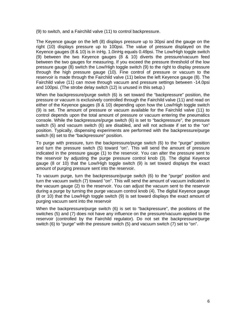(9) to switch, and a Fairchild valve (11) to control backpressure.

The Keyence gauge on the left (8) displays pressure up to 30psi and the gauge on the right (10) displays pressure up to 100psi. The value of pressure displayed on the Keyence gauges (8 & 10) is in inHg. 1.0inHg equals 0.49psi. The Low/High toggle switch (9) between the two Keyence gauges (8 & 10) diverts the pressure/vacuum feed between the two gauges for measuring. If you exceed the pressure threshold of the low pressure gauge (8) switch the Low/High toggle switch (9) to the right to display pressure through the high pressure gauge (10). Fine control of pressure or vacuum to the reservoir is made through the Fairchild valve (11) below the left Keyence gauge (8). The Fairchild valve (11) can move through vacuum and pressure settings between -14.0psi and 100psi. (The strobe delay switch (12) is unused in this setup.)

When the backpressure/purge switch (6) is set toward the "backpressure" position, the pressure or vacuum is exclusively controlled through the Fairchild valve (11) and read on either of the Keyence gauges (8 & 10) depending upon how the Low/High toggle switch (9) is set. The amount of pressure or vacuum available for the Fairchild valve (11) to control depends upon the total amount of pressure or vacuum entering the pneumatics console. While the backpressure/purge switch (6) is set to "backpressure", the pressure switch (5) and vacuum switch (6) are disabled, and will not activate if set to the "on" position. Typically, dispensing experiments are performed with the backpressure/purge switch (6) set to the "backpressure" position.

To purge with pressure, turn the backpressure/purge switch (6) to the "purge" position and turn the pressure switch (5) toward "on". This will send the amount of pressure indicated in the pressure gauge (1) to the reservoir. You can alter the pressure sent to the reservoir by adjusting the purge pressure control knob (3). The digital Keyence gauge (8 or 10) that the Low/High toggle switch (9) is set toward displays the exact amount of purging pressure sent into the reservoir.

To vacuum purge, turn the backpressure/purge switch (6) to the "purge" position and turn the vacuum switch (7) toward "on". This will send the amount of vacuum indicated in the vacuum gauge (2) to the reservoir. You can adjust the vacuum sent to the reservoir during a purge by turning the purge vacuum control knob (4). The digital Keyence gauge (8 or 10) that the Low/High toggle switch (9) is set toward displays the exact amount of purging vacuum sent into the reservoir

When the backpressure/purge switch (6) is set to "backpressure", the positions of the switches (5) and (7) does not have any influence on the pressure/vacuum applied to the reservoir (controlled by the Fairchild regulator). Do not set the backpressure/purge switch (6) to "purge" with the pressure switch (5) and vacuum switch (7) set to "on".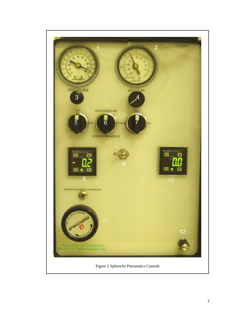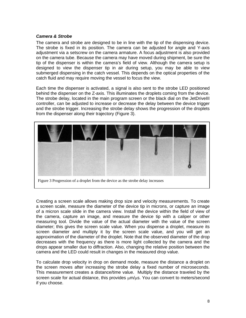#### *Camera & Strobe*

The camera and strobe are designed to be in line with the tip of the dispensing device. The strobe is fixed in its position. The camera can be adjusted for angle and Y-axis adjustment via a setscrew on the camera armature. A focus adjustment is also provided on the camera tube. Because the camera may have moved during shipment, be sure the tip of the dispenser is within the camera's field of view. Although the camera setup is designed to view the dispenser tip in air during setup, you may be able to view submerged dispensing in the catch vessel. This depends on the optical properties of the catch fluid and may require moving the vessel to focus the view.

Each time the dispenser is activated, a signal is also sent to the strobe LED positioned behind the dispenser on the Z-axis. This illuminates the droplets coming from the device. The strobe delay, located in the main program screen or the black dial on the JetDriveIII controller, can be adjusted to increase or decrease the delay between the device trigger and the strobe trigger. Increasing the strobe delay shows the progression of the droplets from the dispenser along their trajectory (Figure 3).



Figure 3 Progression of a droplet from the device as the strobe delay increases

Creating a screen scale allows making drop size and velocity measurements. To create a screen scale, measure the diameter of the device tip in microns, or capture an image of a micron scale slide in the camera view. Install the device within the field of view of the camera, capture an image, and measure the device tip with a caliper or other measuring tool. Divide the value of the actual diameter with the value of the screen diameter; this gives the screen scale value. When you dispense a droplet, measure its screen diameter and multiply it by the screen scale value, and you will get an approximation of the diameter of the droplet. Note that the observed diameter of the drop decreases with the frequency as there is more light collected by the camera and the drops appear smaller due to diffraction. Also, changing the relative position between the camera and the LED could result in changes in the measured drop value.

To calculate drop velocity in drop on demand mode, measure the distance a droplet on the screen moves after increasing the strobe delay a fixed number of microseconds. This measurement creates a distance/time value. Multiply the distance traveled by the screen scale for actual distance, this provides  $\mu$ m/ $\mu$ s. You can convert to meters/second if you choose.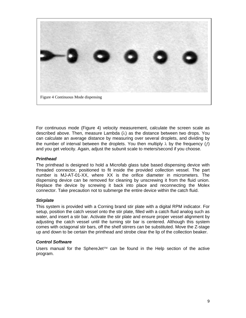

For continuous mode (Figure 4) velocity measurement, calculate the screen scale as described above. Then, measure Lambda  $(\lambda)$  as the distance between two drops. You can calculate an average distance by measuring over several droplets, and dividing by the number of interval between the droplets. You then multiply  $\lambda$  by the frequency (f) and you get velocity. Again, adjust the subunit scale to meters/second if you choose.

# *Printhead*

The printhead is designed to hold a Microfab glass tube based dispensing device with threaded connector, positioned to fit inside the provided collection vessel. The part number is MJ-AT-01-XX, where XX is the orifice diameter in micrometers. The dispensing device can be removed for cleaning by unscrewing it from the fluid union. Replace the device by screwing it back into place and reconnecting the Molex connector. Take precaution not to submerge the entire device within the catch fluid.

## *Stirplate*

This system is provided with a Corning brand stir plate with a digital RPM indicator. For setup, position the catch vessel onto the stir plate, filled with a catch fluid analog such as water, and insert a stir bar. Activate the stir plate and ensure proper vessel alignment by adjusting the catch vessel until the turning stir bar is centered. Although this system comes with octagonal stir bars, off the shelf stirrers can be substituted. Move the Z-stage up and down to be certain the printhead and strobe clear the lip of the collection beaker.

## *Control Software*

Users manual for the SphereJet $T^M$  can be found in the Help section of the active program.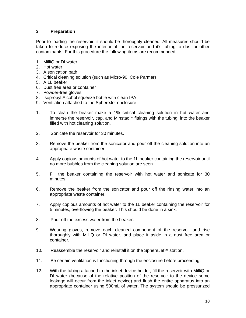# **3 Preparation**

Prior to loading the reservoir, it should be thoroughly cleaned. All measures should be taken to reduce exposing the interior of the reservoir and it's tubing to dust or other contaminants. For this procedure the following items are recommended:

- 1. MilliQ or DI water
- 2. Hot water
- 3. A sonication bath
- 4. Critical cleaning solution (such as Micro-90; Cole Parmer)
- 5. A 1L beaker
- 6. Dust free area or container
- 7. Powder-free gloves
- 8. Isopropyl Alcohol squeeze bottle with clean IPA
- 9. Ventilation attached to the SphereJet enclosure
- 1. To clean the beaker make a 1% critical cleaning solution in hot water and immerse the reservoir, cap, and Minstac<sup>TM</sup> fittings with the tubing, into the beaker filled with hot cleaning solution.
- 2. Sonicate the reservoir for 30 minutes.
- 3. Remove the beaker from the sonicator and pour off the cleaning solution into an appropriate waste container.
- 4. Apply copious amounts of hot water to the 1L beaker containing the reservoir until no more bubbles from the cleaning solution are seen.
- 5. Fill the beaker containing the reservoir with hot water and sonicate for 30 minutes.
- 6. Remove the beaker from the sonicator and pour off the rinsing water into an appropriate waste container.
- 7. Apply copious amounts of hot water to the 1L beaker containing the reservoir for 5 minutes, overflowing the beaker. This should be done in a sink.
- 8. Pour off the excess water from the beaker.
- 9. Wearing gloves, remove each cleaned component of the reservoir and rise thoroughly with MilliQ or DI water, and place it aside in a dust free area or container.
- 10. Reassemble the reservoir and reinstall it on the SphereJet<sup>TM</sup> station.
- 11. Be certain ventilation is functioning through the enclosure before proceeding.
- 12. With the tubing attached to the inkjet device holder, fill the reservoir with MilliQ or DI water (because of the relative position of the reservoir to the device some leakage will occur from the inkjet device) and flush the entire apparatus into an appropriate container using 500mL of water. The system should be pressurized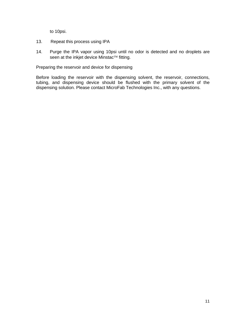to 10psi.

- 13. Repeat this process using IPA
- 14. Purge the IPA vapor using 10psi until no odor is detected and no droplets are seen at the inkjet device Minstac<sup>TM</sup> fitting.

Preparing the reservoir and device for dispensing

Before loading the reservoir with the dispensing solvent, the reservoir, connections, tubing, and dispensing device should be flushed with the primary solvent of the dispensing solution. Please contact MicroFab Technologies Inc., with any questions.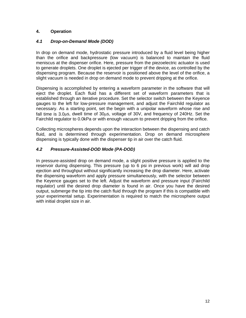# **4. Operation**

# *4.1 Drop-on-Demand Mode (DOD)*

In drop on demand mode, hydrostatic pressure introduced by a fluid level being higher than the orifice and backpressure (low vacuum) is balanced to maintain the fluid meniscus at the dispenser orifice. Here, pressure from the piezoelectric actuator is used to generate droplets. One droplet is ejected per trigger of the device, as controlled by the dispensing program. Because the reservoir is positioned above the level of the orifice, a slight vacuum is needed in drop on demand mode to prevent dripping at the orifice.

Dispensing is accomplished by entering a waveform parameter in the software that will eject the droplet. Each fluid has a different set of waveform parameters that is established through an iterative procedure. Set the selector switch between the Keyence gauges to the left for low-pressure management, and adjust the Fairchild regulator as necessary. As a starting point, set the begin with a unipolar waveform whose rise and fall time is 3.0 $\mu$ s, dwell time of 30 $\mu$ s, voltage of 30V, and frequency of 240Hz. Set the Fairchild regulator to 0.0kPa or with enough vacuum to prevent dripping from the orifice.

Collecting microspheres depends upon the interaction between the dispensing and catch fluid, and is determined through experimentation. Drop on demand microsphere dispensing is typically done with the dispenser tip in air over the catch fluid.

# *4.2 Pressure-Assisted-DOD Mode (PA-DOD)*

In pressure-assisted drop on demand mode, a slight positive pressure is applied to the reservoir during dispensing. This pressure (up to 6 psi in previous work) will aid drop ejection and throughput without significantly increasing the drop diameter. Here, activate the dispensing waveform and apply pressure simultaneously, with the selector between the Keyence gauges set to the left. Adjust the waveform and pressure input (Fairchild regulator) until the desired drop diameter is found in air. Once you have the desired output, submerge the tip into the catch fluid through the program if this is compatible with your experimental setup. Experimentation is required to match the microsphere output with initial droplet size in air.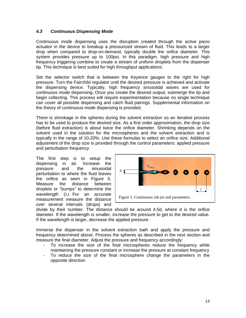# *4.3 Continuous Dispensing Mode*

Continuous mode dispensing uses the disruption created through the active piezo actuator in the device to breakup a pressurized stream of fluid. This leads to a larger drop when compared to drop-on-demand, typically double the orifice diameter. This system provides pressure up to 100psi. In this paradigm, high pressure and high frequency triggering combine to create a stream of uniform droplets from the dispenser tip. This technique is best suited for high throughput applications.

Set the selector switch that is between the Keyence gauges to the right for high pressure. Turn the Fairchild regulator until the desired pressure is achieved and activate the dispensing device. Typically, high frequency sinusoidal waves are used for continuous mode dispensing. Once you create the desired output, submerge the tip and begin collecting. This process will require experimentation because no single technique can cover all possible dispensing and catch fluid pairings. Supplemental information on the theory of continuous mode dispensing is provided.

There is shrinkage in the spheres during the solvent extraction so an iterative process has to be used to produce the desired size. As a first order approximation, the drop size (before fluid extraction) is about twice the orifice diameter. Shrinking depends on the solvent used in the solution for the microspheres and the solvent extraction and is typically in the range of 10-20%. Use these formulas to select an orifice size. Additional adjustment of the drop size is provided through the control parameters: applied pressure and perturbation frequency.

The first step is to setup the dispensing in air. Increase the pressure and the sinusoidal perturbation to where the fluid leaves the orifice as seen in Figure 5. Measure the distance between droplets or "bumps" to determine the wavelength  $(\lambda)$ . For an accurate measurement measure the distance over several intervals (drops) and



divide by their number. The distance should be around 4.5d, where d is the orifice diameter. If the wavelength is smaller, increase the pressure to get to the desired value. If the wavelength is larger, decrease the applied pressure.

Immerse the dispenser in the solvent extraction bath and apply the pressure and frequency determined above. Process the spheres as described in the next section and measure the final diameter. Adjust the pressure and frequency accordingly:

- To increase the size of the final microspheres reduce the frequency while maintaining the pressure constant or increase the pressure at constant frequency
- To reduce the size of the final microsphere change the parameters in the opposite direction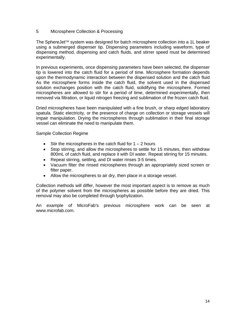#### 5 Microsphere Collection & Processing

The SphereJet<sup>TM</sup> system was designed for batch microsphere collection into a 1L beaker using a submerged dispenser tip. Dispensing parameters including waveform, type of dispensing method, dispensing and catch fluids, and stirrer speed must be determined experimentally.

In previous experiments, once dispensing parameters have been selected, the dispenser tip is lowered into the catch fluid for a period of time. Microsphere formation depends upon the thermodynamic interaction between the dispensed solution and the catch fluid As the microsphere forms inside the catch fluid, the solvent used in the dispensed solution exchanges position with the catch fluid, solidifying the microsphere. Formed microspheres are allowed to stir for a period of time, determined experimentally, then removed via filtration, or liquid nitrogen freezing and sublimation of the frozen catch fluid.

Dried microspheres have been manipulated with a fine brush, or sharp edged laboratory spatula. Static electricity, or the presence of charge on collection or storage vessels will impair manipulation. Drying the microspheres through sublimation in their final storage vessel can eliminate the need to manipulate them.

Sample Collection Regime

- $\bullet$  Stir the microspheres in the catch fluid for 1 2 hours
- Stop stirring, and allow the microspheres to settle for 15 minutes, then withdraw 800mL of catch fluid, and replace it with DI water. Repeat stirring for 15 minutes.
- Repeat stirring, settling, and DI water rinses 3-5 times.
- Vacuum filter the rinsed microspheres through an appropriately sized screen or filter paper.
- Allow the microspheres to air dry, then place in a storage vessel.

Collection methods will differ, however the most important aspect is to remove as much of the polymer solvent from the microspheres as possible before they are dried. This removal may also be completed through lyophylization.

An example of MicroFab's previous microsphere work can be seen at www.microfab.com.